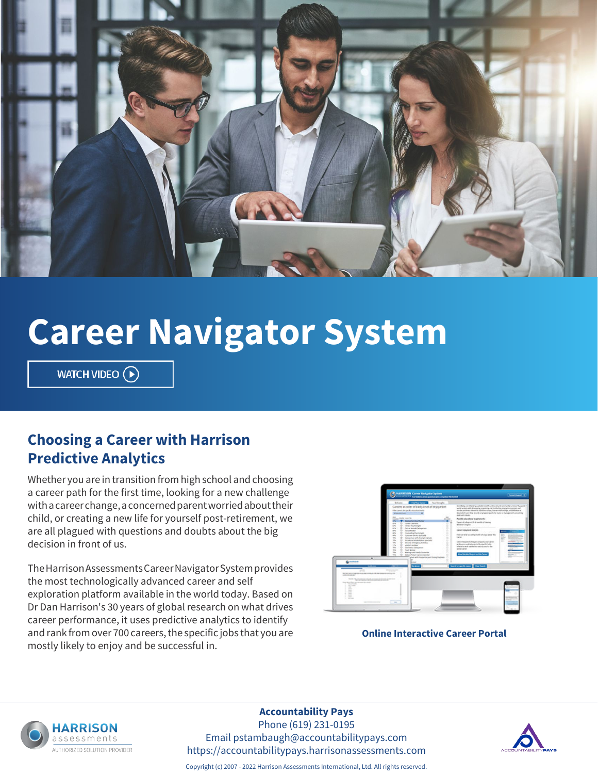

# **Career Navigator System**

WATCH VIDEO  $\left(\rightarrow\right)$ 

## **Choosing a Career with Harrison Predictive Analytics**

Whether you are in transition from high school and choosing a career path for the first time, looking for a new challenge with a career change, a concerned parent worried about their child, or creating a new life for yourself post-retirement, we are all plagued with questions and doubts about the big decision in front of us.

The Harrison Assessments Career Navigator System provides the most technologically advanced career and self exploration platform available in the world today. Based on Dr Dan Harrison's 30 years of global research on what drives career performance, it uses predictive analytics to identify and rank from over 700 careers, the specific jobs that you are mostly likely to enjoy and be successful in.



**Online Interactive Career Portal**



#### **Accountability Pays**

Phone (619) 231-0195 Email pstambaugh@accountabilitypays.com https://accountabilitypays.harrisonassessments.com



Copyright (c) 2007 - 2022 Harrison Assessments International, Ltd. All rights reserved.